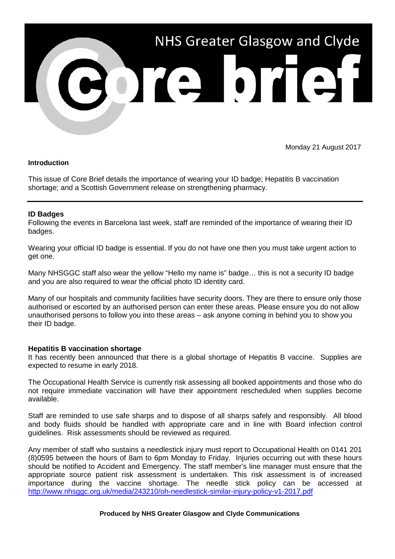

Monday 21 August 2017

### **Introduction**

This issue of Core Brief details the importance of wearing your ID badge; Hepatitis B vaccination shortage; and a Scottish Government release on strengthening pharmacy.

# **ID Badges**

Following the events in Barcelona last week, staff are reminded of the importance of wearing their ID badges.

Wearing your official ID badge is essential. If you do not have one then you must take urgent action to get one.

Many NHSGGC staff also wear the yellow "Hello my name is" badge… this is not a security ID badge and you are also required to wear the official photo ID identity card.

Many of our hospitals and community facilities have security doors. They are there to ensure only those authorised or escorted by an authorised person can enter these areas. Please ensure you do not allow unauthorised persons to follow you into these areas – ask anyone coming in behind you to show you their ID badge.

### **Hepatitis B vaccination shortage**

It has recently been announced that there is a global shortage of Hepatitis B vaccine. Supplies are expected to resume in early 2018.

The Occupational Health Service is currently risk assessing all booked appointments and those who do not require immediate vaccination will have their appointment rescheduled when supplies become available.

Staff are reminded to use safe sharps and to dispose of all sharps safely and responsibly. All blood and body fluids should be handled with appropriate care and in line with Board infection control guidelines. Risk assessments should be reviewed as required.

Any member of staff who sustains a needlestick injury must report to Occupational Health on 0141 201 (8)0595 between the hours of 8am to 6pm Monday to Friday. Injuries occurring out with these hours should be notified to Accident and Emergency. The staff member's line manager must ensure that the appropriate source patient risk assessment is undertaken. This risk assessment is of increased importance during the vaccine shortage. The needle stick policy can be accessed at <http://www.nhsggc.org.uk/media/243210/oh-needlestick-similar-injury-policy-v1-2017.pdf>

### **Produced by NHS Greater Glasgow and Clyde Communications**